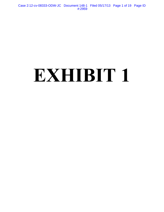Case 2:12-cv-08333-ODW-JC Document 148-1 Filed 05/17/13 Page 1 of 19 Page ID #:2959

# **EXHIBIT 1**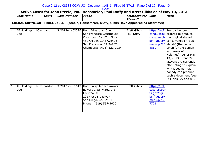## Case 2:12-cv-08333-ODW-JC Document 148-1 Filed 05/17/13 Page 2 of 19 Page ID

### #:2960

### **Active Cases for John Steele, Paul Hansmeier, Paul Duffy and Brett Gibbs as of May 13, 2013**

|                | <b>Case Name</b>                  | <b>Court</b> | <b>Case Number</b> | Judge                                                                                                                                                                        | Attorneys for Link<br><b>Plaintiff</b> |                                                                                 | <b>Note</b>                                                                                                                                                                                                                                                                                                                                                                                                |
|----------------|-----------------------------------|--------------|--------------------|------------------------------------------------------------------------------------------------------------------------------------------------------------------------------|----------------------------------------|---------------------------------------------------------------------------------|------------------------------------------------------------------------------------------------------------------------------------------------------------------------------------------------------------------------------------------------------------------------------------------------------------------------------------------------------------------------------------------------------------|
|                |                                   |              |                    | FEDERAL COPYRIGHT TROLL CASES - (Steele, Hansemeier, Duffy, Gibbs Have Appeared as Attorneys)                                                                                |                                        |                                                                                 |                                                                                                                                                                                                                                                                                                                                                                                                            |
| 11             | AF Holdings, LLC v. cand<br>Doe   |              |                    | 3:2012-cv-02396 Hon. Edward M. Chen<br>San Francisco Courthouse<br>Courtroom 5 - 17th Floor<br>450 Golden Gate Avenue<br>San Francisco, CA 94102<br>Chambers: (415) 522-2034 | <b>Brett Gibbs</b><br>Paul Duffy       | 4869                                                                            | https://ecf. Prenda has been<br>cand.uscou ordered to produce<br>rts.gov/cgi- the original signed<br>bin/iqquery   concurrence of "Salt<br>menu.pl?25   Marsh" (the name<br>given for the person<br>who owns AF<br>Holdings). As of May<br>13, 2013, Prenda's<br>lawyers are currently<br>attempting to explain<br>why it seems that<br>nobody can produce<br>such a document (see<br>ECF Nos. 79 and 80). |
| $\overline{2}$ | AF Holdings, LLC v. casdce<br>Doe |              |                    | 3:2012-cv-01519   Hon. Barry Ted Moskowitz<br>Edward J. Schwartz U.S.<br> Courthouse<br>221 West Broadway<br>San Diego, CA 92101<br>Phone: (619) 557-5600                    | <b>Brett Gibbs</b>                     | https://ecf.<br>casd.uscour<br>ts.gov/cgi-<br>bin/igguery<br>menu.pl?38<br>7721 |                                                                                                                                                                                                                                                                                                                                                                                                            |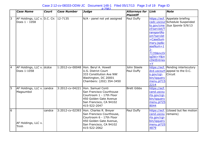|                | <b>Case Name</b>                                       | <b>Court</b> | <b>Case Number</b> | $\#2961$<br><b>Judge</b>                                                                                                                                              |                                          | Link                                                                                                                                             | <b>Note</b>                                                                                        |
|----------------|--------------------------------------------------------|--------------|--------------------|-----------------------------------------------------------------------------------------------------------------------------------------------------------------------|------------------------------------------|--------------------------------------------------------------------------------------------------------------------------------------------------|----------------------------------------------------------------------------------------------------|
|                |                                                        |              |                    |                                                                                                                                                                       | <b>Attorneys for</b><br><b>Plaintiff</b> |                                                                                                                                                  |                                                                                                    |
| $\overline{3}$ | AF Holdings, LLC v. D.C. Cir. 12-7135<br>Does 1 - 1058 |              |                    | N/A - panel not yet assigned                                                                                                                                          | Paul Duffy                               | cf/servlet/T<br>ransportRo<br>om?servlet<br>$=$ CaseSum<br>mary.jsp&c<br>$aseNum = 1$<br>$2 -$<br>7135&incOr<br>igDkt=Y∈<br>cDktEntries<br>$=$ Y | https://ecf. Appelate briefing<br>cadc.uscour Schedule Suspended<br>$ts.gov/cme$ Sua Sponte 5/9/13 |
| $\overline{4}$ | AF Holdings, LLC v. dcdce<br>Does 1-1058               |              |                    | 1:2012-cv-00048 Hon. Beryl A. Howell<br>U.S. District Court<br>333 Constitution Ave NW<br>Washington, DC 20001<br>Chambers: (202) 354-3450                            | John Steele<br>Paul Duffy                | s.gov/cgi-<br>bin/iqquery<br>menu.pl?15<br>2214                                                                                                  | https://ecf. Pending interlocutory<br>dcd.uscourt appeal to the D.C.<br>Circuit                    |
| 5              | AF Holdings, LLC v. candce<br>Magsumbol                |              |                    | 3:2012-cv-04221 Hon. Samuel Conti<br>San Francisco Courthouse<br>Courtroom 1 - 17th Floor<br>450 Golden Gate Avenue<br>San Francisco, CA 94102<br>415-522-2047        | <b>Brett Gibbs</b>                       | https://ecf.<br>cand.uscou<br>rts.gov/cgi-<br>bin/igguery<br>menu.pl?25<br>8044                                                                  |                                                                                                    |
| $\overline{6}$ | AF Holdings, LLC v.<br>Trinh                           | candce       |                    | 3:2012-cv-02393 Hon. Charles R. Breyer<br>San Francisco Courthouse,<br>Courtroom 6 - 17th Floor<br>450 Golden Gate Avenue,<br>San Francisco, CA 94102<br>415-522-2062 | Paul Duffy                               | cand.uscou<br>rts.gov/cgi-<br>bin/igguery<br>menu.pl?25<br>4879                                                                                  | https://ecf. (closed but fee motion)<br>remains)                                                   |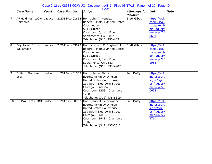|                 |                                       |              |                    | $\#2962$                                                                                                                                                                                                               |                                               |                                                                                 |             |
|-----------------|---------------------------------------|--------------|--------------------|------------------------------------------------------------------------------------------------------------------------------------------------------------------------------------------------------------------------|-----------------------------------------------|---------------------------------------------------------------------------------|-------------|
|                 | <b>Case Name</b>                      | <b>Court</b> | <b>Case Number</b> | <b>Judge</b>                                                                                                                                                                                                           | <b>Attorneys for Link</b><br><b>Plaintiff</b> |                                                                                 | <b>Note</b> |
| 7               | AF Holdings, LLC v. caedce<br>Unknown |              |                    | 2:2012-cv-01662 Hon. John A. Mendez<br>Robert T. Matsui United States<br>Courthouse<br>501 I Street<br>Courtroom 6, 14th Floor<br>Sacramento, CA 95814<br>Telephone: (916) 930-4091                                    | <b>Brett Gibbs</b>                            | https://ecf.<br>caed.uscou<br>rts.gov/cgi-<br>bin/iqquery<br>menu.pl?24<br>0664 |             |
| $\overline{8}$  | Boy Racer, Inc. v.<br>Williamson      | caedce       | 2:2011-cv-03072    | Hon. Morrison C. England, Jr.<br>Robert T. Matsui United States<br>Courthouse<br>501 I Street<br>Courtroom 7, 14th Floor<br>Sacramento, CA 95814<br>Telephone: (916) 930-4207                                          | <b>Brett Gibbs</b>                            | https://ecf.<br>caed.uscou<br>rts.gov/cgi-<br>bin/iqquery<br>menu.pl?23<br>1985 |             |
| 9               | Duffy v. Godfread<br>et al            | lilndce      |                    | 1:2013-cv-01569 Hon. John W. Darrah<br>Everett McKinley Dirksen<br><b>United States Courthouse</b><br>219 South Dearborn Street<br>Chicago, IL 60604<br>Courtroom 1203   Chambers<br>1288<br>Telephone: (312) 435-5619 | Paul Duffy                                    | https://ecf.i<br>Ind.uscourt<br>s.gov/cgi-<br>bin/iqquery<br>menu.pl?28<br>0638 |             |
| $\overline{10}$ | GUAVA, LLC v. DOE ilndce              |              | 1:2013-cv-00952    | Hon. Harry D. Leinenweber<br>Everett McKinley Dirksen<br>United States Courthouse<br>219 South Dearborn Street<br>Chicago, IL 60604<br>Courtroom 1941   Chambers<br>1946<br>Telephone: (312) 435-7612                  | Paul Duffy                                    | https://ecf.i<br>Ind.uscourt<br>s.gov/cgi-<br>bin/igguery<br>menu.pl?27<br>9764 |             |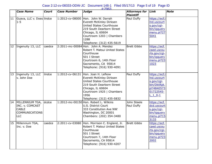|                 |                                                                                                 |              |                    | $\#2963$                                                                                                                                                                                                               |                                               |                                                                                                   |             |
|-----------------|-------------------------------------------------------------------------------------------------|--------------|--------------------|------------------------------------------------------------------------------------------------------------------------------------------------------------------------------------------------------------------------|-----------------------------------------------|---------------------------------------------------------------------------------------------------|-------------|
|                 | <b>Case Name</b>                                                                                | <b>Court</b> | <b>Case Number</b> | <b>Judge</b>                                                                                                                                                                                                           | <b>Attorneys for Link</b><br><b>Plaintiff</b> |                                                                                                   | <b>Note</b> |
| $\overline{11}$ | Guava, LLC v. Does ilndce<br>$1 - 5$                                                            |              |                    | 1:2012-cv-08000 Hon. John W. Darrah<br>Everett McKinley Dirksen<br><b>United States Courthouse</b><br>219 South Dearborn Street<br>Chicago, IL 60604<br>Courtroom 1203   Chambers<br>1288<br>Telephone: (312) 435-5619 | Paul Duffy                                    | https://ecf.i<br>Ind.uscourt<br>s.gov/cgi-<br>bin/iqquery<br>menu.pl?27<br>5041                   |             |
| 12              | Ingenuity 13, LLC                                                                               | caedce       |                    | $2:2011$ -mc-00084 Hon. John A. Mendez<br>Robert T. Matsui United States<br>Courthouse<br>501 I Street<br>Courtroom 6, 14th Floor<br>Sacramento, CA 95814<br>Telephone: (916) 930-4091                                 | <b>Brett Gibbs</b>                            | https://ecf.<br>caed.uscou<br>rts.gov/cgi-<br>bin/iqquery<br>menu.pl?23<br>1023                   |             |
| $\overline{13}$ | Ingenuity 13, LLC<br>v. John Doe                                                                | lilndce      |                    | 1:2012-cv-06131 Hon. Joan H. Lefkow<br>Everett McKinley Dirksen<br><b>United States Courthouse</b><br>219 South Dearborn Street<br>Chicago, IL 60604<br>Courtroom 1925   Chambers<br>1956<br>Telephone: (312) 435-5832 | Paul Duffy                                    | https://ecf.i<br>Ind.uscourt<br>s.gov/cgi-<br>bin/DktRpt.<br>pl?4840573<br>01722545-<br>$L_1 0-1$ |             |
| 14              | MILLENNIUM TGA, dcdce<br>INC. v. COMCAST<br><b>CABLE</b><br><b>COMMUNICATIONS</b><br><b>LLC</b> |              |                    | 1:2012-mc-00150 Hon. Robert L. Wilkins<br>U.S. District Court<br>333 Constitution Ave NW<br>Washington, DC 20001<br>Chambers: (202) 354-3480                                                                           | John Steele<br>Paul Duffy                     | https://ecf.<br>dcd.uscourt<br>s.gov/cgi-<br>bin/igquery<br>menu.pl?15<br>3133                    |             |
| $\overline{1}5$ | Millennium TGA,<br>Inc. v. Doe                                                                  | caedce       |                    | 2:2011-cv-03080   Hon. Morrison C. England, Jr.<br>Robert T. Matsui United States<br>Courthouse<br>501 I Street<br>Courtroom 7, 14th Floor<br>Sacramento, CA 95814<br>Telephone: (916) 930-4207                        | Brett Gibbs                                   | https://ecf.<br>caed.uscou<br>rts.gov/cgi-<br>bin/igguery<br>menu.pl?23<br>2002                   |             |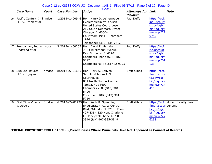|    |                                                                                                         |              |                    | $\#2964$                                                                                                                                                                                                              |                                          |                                                                                 |                                     |  |  |  |
|----|---------------------------------------------------------------------------------------------------------|--------------|--------------------|-----------------------------------------------------------------------------------------------------------------------------------------------------------------------------------------------------------------------|------------------------------------------|---------------------------------------------------------------------------------|-------------------------------------|--|--|--|
|    | <b>Case Name</b>                                                                                        | <b>Court</b> | <b>Case Number</b> | <b>Judge</b>                                                                                                                                                                                                          | <b>Attorneys for</b><br><b>Plaintiff</b> | Link                                                                            | <b>Note</b>                         |  |  |  |
| 16 | Pacific Century Int'lliIndce<br>LTD v. Strink et al                                                     |              |                    | 1:2013-cv-00946 Hon. Harry D. Leinenweber<br>Everett McKinley Dirksen<br>United States Courthouse<br>219 South Dearborn Street<br>Chicago, IL 60604<br>Courtroom 1941   Chambers<br>1946<br>Telephone: (312) 435-7612 | Paul Duffy                               | https://ecf.i<br>Ind.uscourt<br>s.gov/cgi-<br>bin/iqquery<br>menu.pl?27<br>9757 |                                     |  |  |  |
| 17 | Prenda Law, Inc. v. ilsdce<br>Godfread et al                                                            |              | 3:2013-cv-00207    | Hon. David R. Herndon<br>750 Old Missouri Avenue<br>East St. Louis, IL 62201<br>Chambers Phone (618) 482-<br>9077<br>Chambers Fax (618) 482-9195                                                                      | Paul Duffy                               | https://ecf.i<br>Isd.uscourt<br>s.gov/cgi-<br>bin/iqquery<br>menu.pl?61<br>133  |                                     |  |  |  |
| 18 | Sunlust Pictures,<br>LLC v. Nguyen                                                                      | fimdce       | 8:2012-cv-01685    | Hon. Mary S. Scriven<br>Sam M. Gibbons U.S.<br>Courthouse<br>801 North Florida Avenue<br>Tampa, FL 33602<br>Chambers 758, (813) 301-<br>5400<br>Courtroom 10B, (813) 301-<br>5710                                     | <b>Brett Gibbs</b>                       | https://ecf.<br>flmd.uscour<br>ts.gov/cgi-<br>bin/iqquery<br>menu.pl?27<br>4150 |                                     |  |  |  |
| 19 | First Time Videos<br>v. Oppold                                                                          | fimdce       |                    | $6:2012$ -CV-01493 Hon. Karla R. Spaulding<br>(Magistrate) 401 W Central<br>Blvd, Orlando, FL 32081 Phone<br>407-835-4320 Hon. Charlene<br>E. Honeywell Phone 407-835-<br>3840 (fax) 407-835-3849                     | <b>Brett Gibbs</b>                       | flmd.uscour pending<br>ts.gov/cgi-<br>bin/igguery<br>menu.pl?27<br>6288         | https://ecf.   Motion for atty fees |  |  |  |
|    | FEDERAL COPYRIGHT TROLL CASES - (Prenda Cases Where Prinicipals Have Not Appeared as Counsel of Record) |              |                    |                                                                                                                                                                                                                       |                                          |                                                                                 |                                     |  |  |  |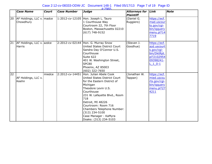|                 | <b>Case Name</b>                           | <b>Court</b> | <b>Case Number</b> | Judge                                                                                                                                                                                                                                                                                                                       | Attorneys for Link<br><b>Plaintiff</b> |                                                                                                  | <b>Note</b> |
|-----------------|--------------------------------------------|--------------|--------------------|-----------------------------------------------------------------------------------------------------------------------------------------------------------------------------------------------------------------------------------------------------------------------------------------------------------------------------|----------------------------------------|--------------------------------------------------------------------------------------------------|-------------|
| 20              | AF Holdings, LLC v.   madce<br>Chowdhury   |              |                    | 1:2012-cv-12105 Hon. Joseph L. Tauro<br>1 Courthouse Way<br>Courtroom 22, 7th Floor<br>Boston, Massachusetts 02210<br>$(617)$ 748-9152                                                                                                                                                                                      | (Daniel G.<br>Ruggiero)                | https://ecf.<br>mad.uscour<br>ts.gov/cgi-<br>bin/iqquery<br>menu.pl?14<br>7719                   |             |
| 21              | AF Holdings, LLC v. azdce<br><b>Harris</b> |              |                    | 2:2012-cv-02144 Hon. G. Murray Snow<br>United States District Court<br>Sandra Day O'Connor U.S.<br>Courthouse<br>Suite 622<br>401 W. Washington Street,<br><b>SPC80</b><br>Phoenix, AZ 85003<br>$(602)$ 322-7650                                                                                                            | (Steven J.<br>Goodhue)                 | https://ecf.<br>azd.uscourt<br>s.gov/cgi-<br>bin/DktRpt.<br>pl?2102954<br>09398241-<br>$L_1_0-1$ |             |
| $\overline{22}$ | AF Holdings, LLC v.<br>Keehn               | miedce       | 2:2012-cv-14451    | Hon. Julian Abele Cook<br>United States District Court<br>for the Eastern District of<br>Michigan<br>Theodore Levin U.S.<br>Courthouse<br>231 W. Lafayette Blvd., Room<br>718<br>Detroit, MI 48226<br>Courtroom: Room 716<br>Chambers Telephone Number:<br>(313) 234-5100<br>Case Manager - KaMyra<br>Doaks: (313) 234-5103 | (Jonathan W.<br>Tappan)                | https://ecf.<br>mied.uscou<br>rts.gov/cgi-<br>bin/igguery<br>menu.pl?27<br>4211                  |             |

#:2965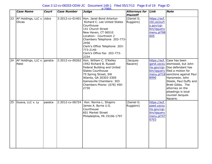|    |                                            |              |                    | #2966                                                                                                                                                                                                                                                                                  |                                          |                                                                                 |                                                                                                                                                                                                                                                                                                                |
|----|--------------------------------------------|--------------|--------------------|----------------------------------------------------------------------------------------------------------------------------------------------------------------------------------------------------------------------------------------------------------------------------------------|------------------------------------------|---------------------------------------------------------------------------------|----------------------------------------------------------------------------------------------------------------------------------------------------------------------------------------------------------------------------------------------------------------------------------------------------------------|
|    | <b>Case Name</b>                           | <b>Court</b> | <b>Case Number</b> | Judge                                                                                                                                                                                                                                                                                  | <b>Attorneys for</b><br><b>Plaintiff</b> | Link                                                                            | <b>Note</b>                                                                                                                                                                                                                                                                                                    |
| 23 | AF Holdings, LLC v. ctdce<br><b>Olivas</b> |              |                    | 3:2012-cv-01401 Hon. Janet Bond Arterton<br>Richard C. Lee United States<br>Courthouse<br>141 Church Street<br>New Haven, CT 06510<br>Location: Courtroom 2<br>Chambers Telephone 203-773-<br>2456<br>Clerk's Office Telephone 203-<br>773-2140<br>Clerk's Office Fax 203-773-<br>2334 | (Daniel G.<br>Ruggiero)                  | https://ecf.<br>ctd.uscourt<br>s.gov/cgi-<br>bin/iqquery<br>menu.pl?98<br>605   |                                                                                                                                                                                                                                                                                                                |
| 24 | AF Holdings, LLC v. gandce<br>Patel        |              |                    | 2:2012-cv-00262 Hon. William C. O'Kelley<br>1942 Richard B. Russell<br>Federal Building and United<br><b>States Courthouse</b><br>75 Spring Street, SW<br>Atlanta, GA 30303-3309<br>Gainesville Chambers: 303<br>Chambers Phone: (678) 450-<br>2730                                    | (Jacques<br>Nazaire)                     | 8990                                                                            | https://ecf. Case has been<br>gand.uscou dismissed, but John<br>rts.gov/cgi- Doe defendant has<br>bin/igquery filed a motion for<br>menu.pl?18 sanctions against Paul<br>Hansmeier, John<br>Steele, Paul Duffy and<br>Brett Gibbs. The<br>attorney on the<br>pleadings is local<br>counsel Jacques<br>Nazaire. |
| 25 | Guava, LLC v. Ly                           | paedce       | 2:2012-cv-06724    | Hon. Norma L. Shapiro<br>James A. Byrne U.S.<br>Courthouse<br>601 Market Street<br>Philadelphia, PA 19106-1797                                                                                                                                                                         | (Daniel G.<br>Ruggiero)                  | https://ecf.<br>paed.uscou<br>rts.gov/cgi-<br>bin/igguery<br>menu.pl?47<br>0703 |                                                                                                                                                                                                                                                                                                                |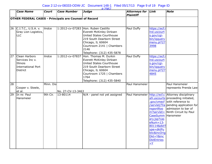## Case 2:12-cv-08333-ODW-JC Document 148-1 Filed 05/17/13 Page 9 of 19 Page ID

|                 | <b>Case Name</b>                                                                      | <b>Court</b> | <b>Case Number</b> | <b>Judge</b>                                                                                                                                                                                                    | <b>Attorneys for</b><br><b>Plaintiff</b> | Link                                                                                                                                                    | <b>Note</b>                                                                                                                                                                                                                    |
|-----------------|---------------------------------------------------------------------------------------|--------------|--------------------|-----------------------------------------------------------------------------------------------------------------------------------------------------------------------------------------------------------------|------------------------------------------|---------------------------------------------------------------------------------------------------------------------------------------------------------|--------------------------------------------------------------------------------------------------------------------------------------------------------------------------------------------------------------------------------|
|                 | <b>OTHER FEDERAL CASES - Principals are Counsel of Record</b>                         |              |                    |                                                                                                                                                                                                                 |                                          |                                                                                                                                                         |                                                                                                                                                                                                                                |
|                 |                                                                                       |              |                    |                                                                                                                                                                                                                 |                                          |                                                                                                                                                         |                                                                                                                                                                                                                                |
| $\overline{26}$ | C.I.T.C., U.S.A. v.<br>Gray Lion Logistics,<br><b>LLC</b>                             | lindce       |                    | 1:2012-cv-07283 Hon. Ruben Castillo<br>Everett McKinley Dirksen<br>United States Courthouse<br>219 South Dearborn Street<br>Chicago, IL 60604<br>Courtroom 2141   Chambers<br>2146<br>Telephone: (312) 435-5878 | Paul Duffy                               | https://ecf.i<br>Ind.uscourt<br>s.gov/cgi-<br>bin/iqquery<br>menu.pl?27<br>3998                                                                         |                                                                                                                                                                                                                                |
| $\overline{27}$ | Clean Harbors<br>Services Inc v.<br>Illinois<br>International Port<br><b>District</b> | ilndce       | 1:2012-cv-07837    | Hon. Thomas M. Durkin<br>Everett McKinley Dirksen<br>United States Courthouse<br>219 South Dearborn Street<br>Chicago, IL 60604<br>Courtroom 1725   Chambers<br>1764<br>Telephone: (312) 435-5840               | Paul Duffy                               | https://ecf.i<br>Ind.uscourt<br>s.gov/cgi-<br>bin/iqquery<br>menu.pl?27<br>4845                                                                         |                                                                                                                                                                                                                                |
| 28              |                                                                                       | Minn. Dis    |                    |                                                                                                                                                                                                                 | Paul Hansmeier                           |                                                                                                                                                         | Paul Hansmeier                                                                                                                                                                                                                 |
|                 | Cooper v. Steele,<br>et al.                                                           |              | No. 27-CV-13-3463  |                                                                                                                                                                                                                 |                                          |                                                                                                                                                         | represents Prenda Law                                                                                                                                                                                                          |
| $\overline{29}$ | In re: Paul<br>Hansmeier                                                              | 9th Cir.     | 13-80114           | N/A - panel not yet assigned                                                                                                                                                                                    |                                          | nsportRoo<br>CaseSumm Hansmeier<br>ary.jsp?cas<br>$eNum = 13 -$<br>80114&dktT<br>ype=dktPu<br>blic&incOrig<br>Dkt=Y&inc<br><b>DktEntries</b><br>$=$ $Y$ | Paul Hansmeier http://ecf.c Attorney disciplinary<br>a9.uscourts proceeding initiated,<br>.gov/cmecf   with reference to<br>/servlet/Tra pending application for<br>admission to bar of<br>$m?$ servlet= Ninth Circuit by Paul |

#:2967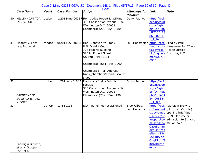|                 |                                                       |              |                    | $\#2968$                                                                                                                                                                                                                                 |                                               |                                                                                                  |                                                                                                                                                                                                                        |
|-----------------|-------------------------------------------------------|--------------|--------------------|------------------------------------------------------------------------------------------------------------------------------------------------------------------------------------------------------------------------------------------|-----------------------------------------------|--------------------------------------------------------------------------------------------------|------------------------------------------------------------------------------------------------------------------------------------------------------------------------------------------------------------------------|
|                 | <b>Case Name</b>                                      | <b>Court</b> | <b>Case Number</b> | <b>Judge</b>                                                                                                                                                                                                                             | <b>Attorneys for</b><br><b>Plaintiff</b>      | Link                                                                                             | <b>Note</b>                                                                                                                                                                                                            |
| 30              | MILLENNIUM TGA,<br>INC. v. DOE                        | dcdce        |                    | 1:2012-mc-00357 Hon. Judge Robert L. Wilkins<br>333 Constitution Avenue N.W.<br>Washington D.C. 20001<br>Chambers: (202) 354-3480                                                                                                        | Duffy, Paul A.                                | https://ecf.<br>dcd.uscourt<br>s.gov/cgi-<br>bin/DktRpt.<br>pl?7206188<br>86338033-<br>$L_1$ 0-1 |                                                                                                                                                                                                                        |
| 31              | Mooney v. Frito-<br>Lay, Inc. et al.                  | mndce        |                    | 0:2013-cv-00648 Hon. Donovan W. Frank<br>U.S. District Court<br>724 Federal Building<br>316 N. Robert Street<br>St. Paul, MN 55101<br>Chambers: (651) 848-1290<br><b>Chambers E-mail Address:</b><br>frank_chambers@mnd.uscourt<br>s.gov | Paul Hansmeier   https://ecf.   Filed by Paul | ts.gov/cgi-<br>menu.pl?13<br>0935                                                                | mnd.uscour Hansmeier for "Class"<br>Action Justice<br>bin/iqquery   Institute, LLC"                                                                                                                                    |
| $\overline{32}$ | OPENMINDED<br>SOLUTIONS, INC.<br>v. DOES              | dcdce        | 1:2011-cv-01883    | Magistrate Judge John M.<br>Facciola<br>333 Constitution Avenue N.W.<br>Washington D.C. 20001<br>Chambers: (202) 354-3130                                                                                                                | Duffy, Paul A                                 | https://ecf.<br>dcd.uscourt<br>s.gov/cgi-<br>bin/DktRpt.<br>pl?5192604<br>34400885-<br>$L_1$ 0-1 |                                                                                                                                                                                                                        |
| 33              | Padraigin Browne,<br>et al v. Groupon,<br>Inc., et al | 9th Cir.     | 13-551118          | N/A - panel not yet assigned                                                                                                                                                                                                             | Brett Gibbs,<br>Paul Hansmeier                | CaseSumm<br>ary.jsp&cas<br>$eNum = 13 -$<br>55118&inc<br>OrigDkt=Y&<br>incDktEntri<br>$es = Y$   | https://ecf.   Padraigin Browne<br>ca9.uscourt (Hansmeier's wife)<br>s.gov/cmec opening brief due<br>$f/\text{servlet}/\text{Tr}$ 5/29. Hansmeier<br>ansportRoo admission to 9th circ<br>$m?$ servlet=  still on hold. |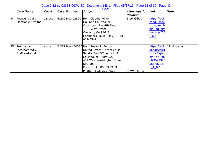|    | Case Name                                       | <b>Court</b> | <b>Case Number</b> | Judge                                                                                                                                                                                                                 | <b>Attorneys for</b><br><b>Plaintiff</b> | Link                                                                                             | $ $ Note       |
|----|-------------------------------------------------|--------------|--------------------|-----------------------------------------------------------------------------------------------------------------------------------------------------------------------------------------------------------------------|------------------------------------------|--------------------------------------------------------------------------------------------------|----------------|
| 34 | Pecover et al v.<br>Electronic Arts Inc.        | lcandce      | 4:2008-cv-02820    | Hon. Claudia Wilken<br>Oakland Courthouse<br>Courtroom 2 - 4th Floor<br>1301 Clay Street<br>Oakland, CA 94612<br>Chambers (Nikki Riley) (510)<br>637-3542                                                             | Brett Gibbs                              | https://ecf.<br>cand.uscou<br>rts.gov/cgi-<br>bin/iqquery<br>menu.pl?23<br>7324                  |                |
| 35 | Prenda Law<br>Incorporated v.<br>Godfread et al | azdce        |                    | 2:2013-mc-00030 Hon. Susan R. Bolton<br>United States District Court<br>Sandra Day O'Connor U.S.<br>Courthouse, Suite 522<br>401 West Washington Street,<br>SPC 50<br>Phoenix, AZ 85003-2153<br>Phone: (602) 322-7570 | Duffy, Paul A                            | https://ecf.<br>azd.uscourt<br>s.gov/cgi-<br>bin/DktRpt.<br>pl?3642396<br>55678276-<br>$L_1$ 0-1 | (closing soon) |

#:2969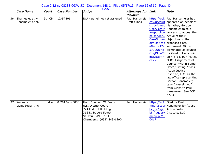| Case 2:12-cv-08333-ODW-JC Document 148-1 Filed 05/17/13 Page 12 of 19 Page ID<br>$\#2970$ |          |                    |                              |                                   |      |                                                                                                                                                                                                                                                                                                                                                                                                                                         |  |  |  |
|-------------------------------------------------------------------------------------------|----------|--------------------|------------------------------|-----------------------------------|------|-----------------------------------------------------------------------------------------------------------------------------------------------------------------------------------------------------------------------------------------------------------------------------------------------------------------------------------------------------------------------------------------------------------------------------------------|--|--|--|
| <b>Case Name</b>                                                                          | Court    | <b>Case Number</b> | <b>Judge</b>                 | <b>Attorneys for</b><br>Plaintiff | Link | Note                                                                                                                                                                                                                                                                                                                                                                                                                                    |  |  |  |
| 36 Shames et al. v.<br>Hansmeier et al.                                                   | 9th Cir. | 12-57206           | N/A - panel not yet assigned | <b>Brett Gibbs</b>                |      | Paul Hansmeier https://ecf. Paul Hansemeier has<br>ca9.uscourt appeared on behalf of<br>s.gov/cmec   his father, Gordon<br>f/servlet/Tr Hansmeier (also a<br>ansportRoo (lawyer), to appeal the<br>m?servlet= denial of their<br>CaseSumm objections to the<br>ary.jsp&cas proposed class<br>eNum=12-  settlement. Gibbs<br>57026&inc Iterminated as counsel<br>OrigDkt=Y& for Gordon Hansmeier<br>incDktEntri   on 4/5/13, per "Notice |  |  |  |

|    |                                 |       |                                                                                                                                                                |                                             | $es = Y$           | $T = T$ $T = T$ $T = T$ $T = T$ $T = T$ $T = T$<br>of Re-Assignment of<br>Counsel Within Same<br>Office," listing "Class<br><b>Action Justice</b><br>Institute, LLC" as the<br>law office representing<br>Gordon Hansmeier;<br>case "re-assigned"<br>from Gibbs to Paul<br>Hansmeier. See ECF<br>No. 38 |
|----|---------------------------------|-------|----------------------------------------------------------------------------------------------------------------------------------------------------------------|---------------------------------------------|--------------------|---------------------------------------------------------------------------------------------------------------------------------------------------------------------------------------------------------------------------------------------------------------------------------------------------------|
| 37 | Wersal v.<br>LivingSocial, Inc. | mndce | 0:2013-cv-00381 Hon. Donovan W. Frank<br>U.S. District Court<br>724 Federal Building<br>316 N. Robert Street<br>St. Paul, MN 55101<br>Chambers: (651) 848-1290 | Paul Hansmeier   https://ecf. Filed by Paul | menu.pl?13<br>0417 | mnd.uscour Hansmeier for "Class<br>ts.gov/cgi- Action Justice<br>bin/iqquery   Institute, LLC"                                                                                                                                                                                                          |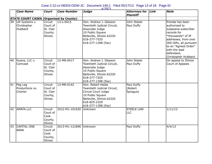## Case 2:12-cv-08333-ODW-JC Document 148-1 Filed 05/17/13 Page 13 of 19 Page ID

|                 | <b>Case Name</b>                               | <b>Court</b>                                            | <b>Case Number</b> | <b>Judge</b>                                                                                                                                                     | <b>Attorneys for</b><br><b>Plaintiff</b> | Link | <b>Note</b>                                                                                                                                                                                                                  |
|-----------------|------------------------------------------------|---------------------------------------------------------|--------------------|------------------------------------------------------------------------------------------------------------------------------------------------------------------|------------------------------------------|------|------------------------------------------------------------------------------------------------------------------------------------------------------------------------------------------------------------------------------|
|                 | <b>STATE COURT CASES (Organized by County)</b> |                                                         |                    |                                                                                                                                                                  |                                          |      |                                                                                                                                                                                                                              |
|                 | 39   LW Systems v.<br>Christopher<br>Hubbard   | Circuit<br>Court of<br>St. Clair<br>County,<br>Illinois | $13 - L - 0015$    | Hon. Andrew J. Gleeson<br>Twentieth Judicial Circuit,<br>Associate Judge<br>10 Public Square<br>Belleville, Illinois 62220<br>618-277-7325<br>618-277-1398 (Fax) | John Steele<br>Paul Duffy                |      | Prenda has been<br>authorized to<br>subpoena subscriber<br>records for<br>*thousands* of IP<br>addresses, from over<br>300 ISPs, all pursuant<br>to an "Agreed Order"<br>with the lead<br>defendant,<br>Christopher Hubbard. |
| [40             | Guava, LLC v.<br>Comcast                       | Circuit<br>Court of<br>St. Clair<br>County,<br>Illinois | 12-MR-0417         | Hon. Andrew J. Gleeson<br>Twentieth Judicial Circuit,<br>Associate Judge<br>10 Public Square<br>Belleville, Illinois 62220<br>618-277-7325<br>618-277-1398 (Fax) | John Steele<br>Paul Duffy                |      | On appeal to Illinois<br>Court of Appeals                                                                                                                                                                                    |
| $\overline{41}$ | Peg Leg<br>Productions vs.<br>Charter          | Circuit<br>Court of<br>St. Clair<br>County,<br>Illinois | 13-MR-0142         | Hon. Robert Haida<br>Twentieth Judicial Circuit,<br>Circuit Court Judge<br>10 Public Square<br>Belleville, Illinois 62220<br>618-825-2329<br>618-277-1398 (Fax)  | Paul Duffy<br>(Robert<br>Sprague)        |      |                                                                                                                                                                                                                              |
| 42              | <b>AMATA LLC</b>                               | Circuit<br>Court of<br>Cook<br>County,<br>Illinois      | 2012-M1-101630     | Unknown                                                                                                                                                          | <b>STEELE LAW</b><br>LLC                 |      | 1/11/12                                                                                                                                                                                                                      |
| 43              | <b>CAPITAL ONE</b><br><b>BANK</b>              | Circuit<br>Court of<br>Cook<br>County,<br>Illinois      | 2013-M1-121896     | Unknown                                                                                                                                                          | Paul Duffy                               |      | 4/4/13                                                                                                                                                                                                                       |

#:2971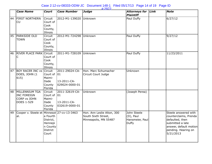## Case 2:12-cv-08333-ODW-JC Document 148-1 Filed 05/17/13 Page 14 of 19 Page ID

|    | <b>Case Name</b>                                                          | <b>Court</b>                                                      | <b>Case Number</b>                                              | <b>Judge</b>                                                               | <b>Attorneys for</b><br><b>Plaintiff</b>                       | Link | <b>Note</b>                                                                                                                                        |
|----|---------------------------------------------------------------------------|-------------------------------------------------------------------|-----------------------------------------------------------------|----------------------------------------------------------------------------|----------------------------------------------------------------|------|----------------------------------------------------------------------------------------------------------------------------------------------------|
| 44 | <b>FIRST NORTHERN</b><br>CU                                               | Circuit<br>Court of<br>Cook<br>County,<br>Illinois                | 2012-M1-139020                                                  | Unknown                                                                    | Paul Duffy                                                     |      | 6/27/12                                                                                                                                            |
| 45 | <b>PARKSIDE OLD</b><br><b>TOWN</b>                                        | Circuit<br>Court of<br>Cook<br>County,<br>Illinois                | 2012-M1-724298                                                  | Unknown                                                                    | Paul Duffy                                                     |      | 9/27/12                                                                                                                                            |
| 46 | <b>RIVER PLACE PARK Circuit</b><br>С                                      | Court of<br>Cook<br>County,<br>Illinois                           | 2011-M1-728109                                                  | Unknown                                                                    | Paul Duffy                                                     |      | 11/23/2011                                                                                                                                         |
| 47 | <b>BOY RACER INC vs Circuit</b><br>DOES, JOHN (1<br>615)                  | Court of<br>Maimi-<br>Dade<br>County<br>Florida                   | 2011-29024-CA-<br>$ 01\rangle$<br>13-2011-CA-<br>029024-0000-01 | Hon. Marc Schumacher<br>Circuit Court Judge                                | Unknown                                                        |      |                                                                                                                                                    |
| 48 | MILLENNIUM TGA<br><b>INC FOREIGN</b><br>CORP vs JOHN<br><b>DOES 1-529</b> | Circuit<br>Court of<br>Maimi-<br>Dade<br>County<br>Florida        | 2011-32619-CA-<br>$ 01\rangle$<br>13-2011-CA-<br>032619-0000-01 | Unknown                                                                    | (Joseph Perea)                                                 |      |                                                                                                                                                    |
| 49 | Cooper v. Steele et Minnesot 27-cv-13-3463<br>al.                         | a Fourth<br>District,<br>Hennepi<br>n County<br>District<br>Court |                                                                 | Hon. Ann Leslie Alton, 300<br>South Sixth Street,<br>Minneapolis, MN 55487 | John Steele<br>$(D)$ , Paul<br>Hansmeier, Paul<br><b>Duffy</b> |      | Steele answered with<br>counterclaims, Prenda<br>defaulted, then<br>submitted a late<br>answer, default motion<br>pending. Hearing on<br>5/21/2013 |

#:2972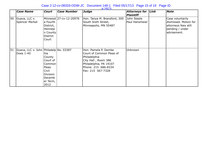## Case 2:12-cv-08333-ODW-JC Document 148-1 Filed 05/17/13 Page 15 of 19 Page ID

|    | <b>Case Name</b>                                        | <b>Court</b>                                                                                           | Case Number             | Judge                                                                                                                                                         | Attorneys for Link<br><b>Plaintiff</b> | Note                                                                                                |
|----|---------------------------------------------------------|--------------------------------------------------------------------------------------------------------|-------------------------|---------------------------------------------------------------------------------------------------------------------------------------------------------------|----------------------------------------|-----------------------------------------------------------------------------------------------------|
| 50 | Guava, LLC v.<br>Spencer Merkel                         | a Fourth<br>District,<br>Hennepi<br>n County<br>District<br>Court                                      | Minnesot 27-cv-12-20976 | Hon. Tanya M. Bransford, 300<br>South Sixth Street,<br>Minneapolis, MN 55487                                                                                  | John Steele<br>Paul Hansmeier          | Case voluntarily<br>dismissed. Motion for<br>attorneys fees still<br>pending / under<br>advisement. |
| 51 | Guava, LLC v. John   Philadelp   No. 03387<br>Does 1-40 | hia<br>County<br>Court of<br>Common<br>Pleas<br>Civil<br><b>Division</b><br>Decemb<br>er Term,<br>2012 |                         | Hon. Pamela P. Dembe<br>Court of Common Pleas of<br>Philadelphia<br>City Hall, Room 386<br>Philadelphia, PA 19107<br>Phone: 215 686-8334<br>Fax: 215 567-7328 | Unknown                                |                                                                                                     |

#:2973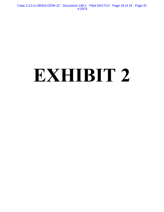Case 2:12-cv-08333-ODW-JC Document 148-1 Filed 05/17/13 Page 16 of 19 Page ID #:2974

# **EXHIBIT 2**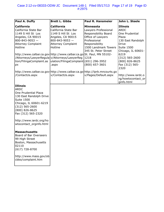| Paul A. Duffy                                                                                                                                                                                                                                                                                                                                            | <b>Brett L. Gibbs</b>                                                                                                                                         | <b>Paul R. Hansmeier</b>                                                                                                                                                                          | John L. Steele                                                                                                                                                                                |
|----------------------------------------------------------------------------------------------------------------------------------------------------------------------------------------------------------------------------------------------------------------------------------------------------------------------------------------------------------|---------------------------------------------------------------------------------------------------------------------------------------------------------------|---------------------------------------------------------------------------------------------------------------------------------------------------------------------------------------------------|-----------------------------------------------------------------------------------------------------------------------------------------------------------------------------------------------|
| <b>California</b><br>California State Bar<br>1149 S Hill St Los<br>Angeles, CA 90015<br>$800 - 843 - 9053 -$<br><b>Attorney Complaint</b><br>Hotline<br>http://www.calbar.ca.gov http://www.calbar.ca.go St. Paul, MN 55102-<br>/Attorneys/LawyerRegula v/Attorneys/LawyerReg<br>tion/FilingaComplaint.as  ulation/FilingaComplaint (651) 296-3952<br>px | <b>California</b><br>California State Bar<br>1149 S Hill St Los<br>Angeles, CA 90015<br>$800 - 843 - 9053 -$<br><b>Attorney Complaint</b><br>Hotline<br>.aspx | <b>Minnesota</b><br>Lawyers Professional<br>Responsibility Board<br>Office of Lawyers<br>Professional<br>Responsibility<br>1500 Landmark Towers<br>345 St. Peter Street<br>1218<br>(800) 657-3601 | <b>Illinois</b><br><b>ARDC</b><br>One Prudential<br>Plaza<br>130 East Randolph<br>Drive<br>Suite 1500<br>Chicago, IL 60601-<br>6219<br>$(312) 565 - 2600$<br>(800) 826-8625<br>Fax (312) 565- |
| http://www.calbar.ca.gov http://www.calbar.ca.go http://lprb.mncourts.go <br>/ContactUs.aspx                                                                                                                                                                                                                                                             | v/ContactUs.aspx                                                                                                                                              | v/Pages/Default.aspx                                                                                                                                                                              | 2320<br>http://www.iardc.o<br>rg/howtocontact_or <br>ginfo.html                                                                                                                               |
| Illinois<br><b>ARDC</b><br>One Prudential Plaza<br>130 East Randolph Drive<br>Suite 1500<br>Chicago, IL 60601-6219<br>$(312) 565 - 2600$<br>(800) 826-8625<br>Fax (312) 565-2320<br>http://www.iardc.org/ho                                                                                                                                              |                                                                                                                                                               |                                                                                                                                                                                                   |                                                                                                                                                                                               |
| wtocontact_orginfo.html<br>Massachusetts<br>Board of Bar Overseers<br>99 High Street<br>Boston, Massachusetts<br>02110<br>$(617)$ 728-8700<br>http://www.mass.gov/ob<br>cbbo/complaint.htm                                                                                                                                                               |                                                                                                                                                               |                                                                                                                                                                                                   |                                                                                                                                                                                               |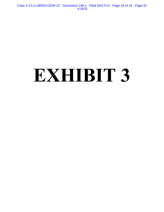Case 2:12-cv-08333-ODW-JC Document 148-1 Filed 05/17/13 Page 18 of 19 Page ID #:2976

# **EXHIBIT 3**